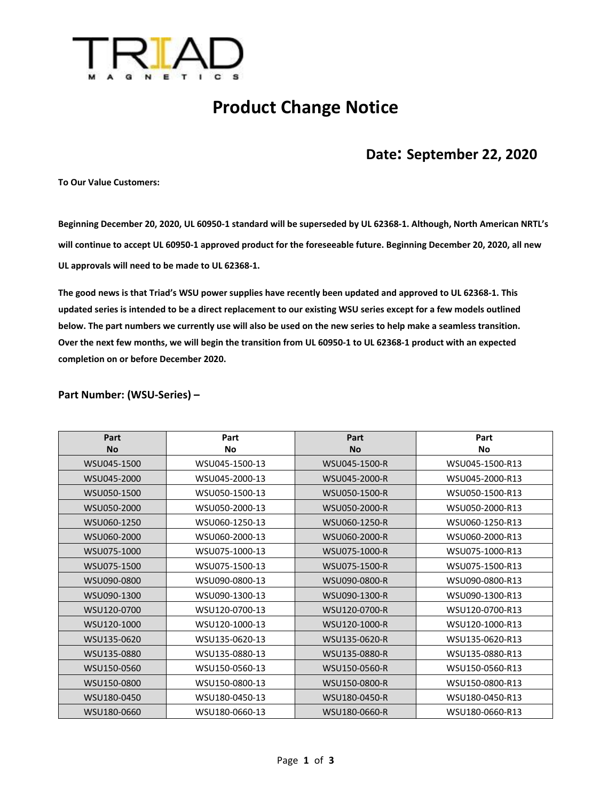

## **Product Change Notice**

## **Date: September 22, 2020**

**To Our Value Customers:**

**Beginning December 20, 2020, UL 60950-1 standard will be superseded by UL 62368-1. Although, North American NRTL's will continue to accept UL 60950-1 approved product for the foreseeable future. Beginning December 20, 2020, all new UL approvals will need to be made to UL 62368-1.**

**The good news is that Triad's WSU power supplies have recently been updated and approved to UL 62368-1. This updated series is intended to be a direct replacement to our existing WSU series except for a few models outlined below. The part numbers we currently use will also be used on the new series to help make a seamless transition. Over the next few months, we will begin the transition from UL 60950-1 to UL 62368-1 product with an expected completion on or before December 2020.**

## **Part Number: (WSU-Series) –**

| Part        | Part           | Part          | Part            |
|-------------|----------------|---------------|-----------------|
| <b>No</b>   | <b>No</b>      | <b>No</b>     | No              |
| WSU045-1500 | WSU045-1500-13 | WSU045-1500-R | WSU045-1500-R13 |
| WSU045-2000 | WSU045-2000-13 | WSU045-2000-R | WSU045-2000-R13 |
| WSU050-1500 | WSU050-1500-13 | WSU050-1500-R | WSU050-1500-R13 |
| WSU050-2000 | WSU050-2000-13 | WSU050-2000-R | WSU050-2000-R13 |
| WSU060-1250 | WSU060-1250-13 | WSU060-1250-R | WSU060-1250-R13 |
| WSU060-2000 | WSU060-2000-13 | WSU060-2000-R | WSU060-2000-R13 |
| WSU075-1000 | WSU075-1000-13 | WSU075-1000-R | WSU075-1000-R13 |
| WSU075-1500 | WSU075-1500-13 | WSU075-1500-R | WSU075-1500-R13 |
| WSU090-0800 | WSU090-0800-13 | WSU090-0800-R | WSU090-0800-R13 |
| WSU090-1300 | WSU090-1300-13 | WSU090-1300-R | WSU090-1300-R13 |
| WSU120-0700 | WSU120-0700-13 | WSU120-0700-R | WSU120-0700-R13 |
| WSU120-1000 | WSU120-1000-13 | WSU120-1000-R | WSU120-1000-R13 |
| WSU135-0620 | WSU135-0620-13 | WSU135-0620-R | WSU135-0620-R13 |
| WSU135-0880 | WSU135-0880-13 | WSU135-0880-R | WSU135-0880-R13 |
| WSU150-0560 | WSU150-0560-13 | WSU150-0560-R | WSU150-0560-R13 |
| WSU150-0800 | WSU150-0800-13 | WSU150-0800-R | WSU150-0800-R13 |
| WSU180-0450 | WSU180-0450-13 | WSU180-0450-R | WSU180-0450-R13 |
| WSU180-0660 | WSU180-0660-13 | WSU180-0660-R | WSU180-0660-R13 |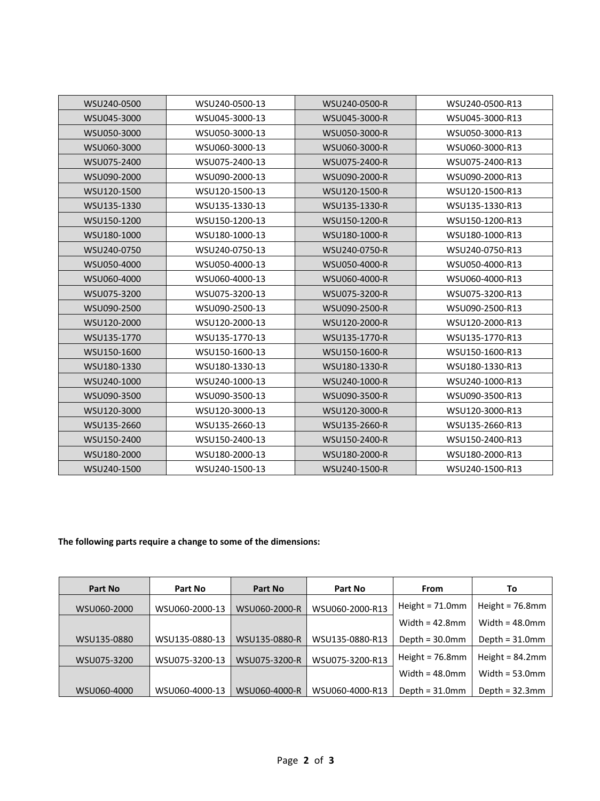| WSU240-0500 | WSU240-0500-13 | WSU240-0500-R | WSU240-0500-R13 |
|-------------|----------------|---------------|-----------------|
| WSU045-3000 | WSU045-3000-13 | WSU045-3000-R | WSU045-3000-R13 |
| WSU050-3000 | WSU050-3000-13 | WSU050-3000-R | WSU050-3000-R13 |
| WSU060-3000 | WSU060-3000-13 | WSU060-3000-R | WSU060-3000-R13 |
| WSU075-2400 | WSU075-2400-13 | WSU075-2400-R | WSU075-2400-R13 |
| WSU090-2000 | WSU090-2000-13 | WSU090-2000-R | WSU090-2000-R13 |
| WSU120-1500 | WSU120-1500-13 | WSU120-1500-R | WSU120-1500-R13 |
| WSU135-1330 | WSU135-1330-13 | WSU135-1330-R | WSU135-1330-R13 |
| WSU150-1200 | WSU150-1200-13 | WSU150-1200-R | WSU150-1200-R13 |
| WSU180-1000 | WSU180-1000-13 | WSU180-1000-R | WSU180-1000-R13 |
| WSU240-0750 | WSU240-0750-13 | WSU240-0750-R | WSU240-0750-R13 |
| WSU050-4000 | WSU050-4000-13 | WSU050-4000-R | WSU050-4000-R13 |
| WSU060-4000 | WSU060-4000-13 | WSU060-4000-R | WSU060-4000-R13 |
| WSU075-3200 | WSU075-3200-13 | WSU075-3200-R | WSU075-3200-R13 |
| WSU090-2500 | WSU090-2500-13 | WSU090-2500-R | WSU090-2500-R13 |
| WSU120-2000 | WSU120-2000-13 | WSU120-2000-R | WSU120-2000-R13 |
| WSU135-1770 | WSU135-1770-13 | WSU135-1770-R | WSU135-1770-R13 |
| WSU150-1600 | WSU150-1600-13 | WSU150-1600-R | WSU150-1600-R13 |
| WSU180-1330 | WSU180-1330-13 | WSU180-1330-R | WSU180-1330-R13 |
| WSU240-1000 | WSU240-1000-13 | WSU240-1000-R | WSU240-1000-R13 |
| WSU090-3500 | WSU090-3500-13 | WSU090-3500-R | WSU090-3500-R13 |
| WSU120-3000 | WSU120-3000-13 | WSU120-3000-R | WSU120-3000-R13 |
| WSU135-2660 | WSU135-2660-13 | WSU135-2660-R | WSU135-2660-R13 |
| WSU150-2400 | WSU150-2400-13 | WSU150-2400-R | WSU150-2400-R13 |
| WSU180-2000 | WSU180-2000-13 | WSU180-2000-R | WSU180-2000-R13 |
| WSU240-1500 | WSU240-1500-13 | WSU240-1500-R | WSU240-1500-R13 |

## **The following parts require a change to some of the dimensions:**

| Part No     | Part No        | Part No       | Part No         | <b>From</b>        | To                 |
|-------------|----------------|---------------|-----------------|--------------------|--------------------|
| WSU060-2000 | WSU060-2000-13 | WSU060-2000-R | WSU060-2000-R13 | Height = $71.0$ mm | Height = $76.8$ mm |
|             |                |               |                 | Width = $42.8$ mm  | Width = $48.0$ mm  |
| WSU135-0880 | WSU135-0880-13 | WSU135-0880-R | WSU135-0880-R13 | Depth = $30.0$ mm  | Depth = $31.0$ mm  |
| WSU075-3200 | WSU075-3200-13 | WSU075-3200-R | WSU075-3200-R13 | Height = $76.8$ mm | Height = $84.2$ mm |
|             |                |               |                 | Width = $48.0$ mm  | Width = $53.0$ mm  |
| WSU060-4000 | WSU060-4000-13 | WSU060-4000-R | WSU060-4000-R13 | Depth = $31.0$ mm  | Depth = $32.3$ mm  |